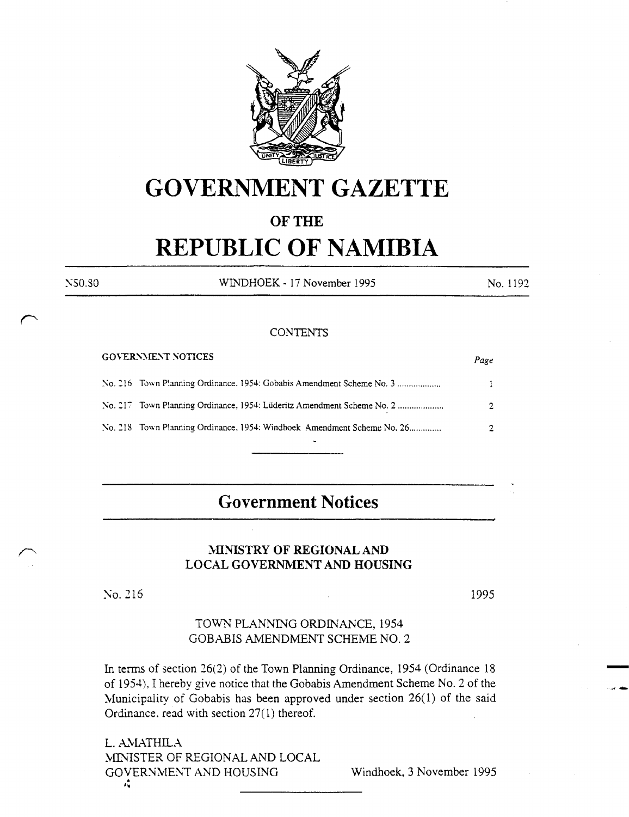

# **GOVERNMENT GAZETTE**

# OF THE

# **REPUBLIC OF NAMIBIA**

WINDHOEK - 17 November 1995

#### **CONTENTS**

| <b>GOVERNMENT NOTICES</b>                                               | Page          |
|-------------------------------------------------------------------------|---------------|
|                                                                         | $\mathbf{1}$  |
|                                                                         | $\mathcal{D}$ |
| No. 218 Town Planning Ordinance, 1954: Windhoek Amendment Scheme No. 26 | 2.            |
|                                                                         |               |

# **Government Notices**

## MINISTRY OF REGIONAL AND LOCAL GOVERNMENT AND HOUSING

No. 216

NS0.30

1995

No. 1192

## TOWN PLANNING ORDINANCE, 1954 GOBABIS AMENDMENT SCHEME NO. 2

In terms of section 26(2) of the Town Planning Ordinance, 1954 (Ordinance 18 of 1954). I hereby give notice that the Gobabis Amendment Scheme No. 2 of the Municipality of Gobabis has been approved under section  $26(1)$  of the said Ordinance, read with section  $27(1)$  thereof.

L. AMATHILA MINISTER OF REGIONAL AND LOCAL GOVERNMENT AND HOUSING Ą

Windhoek, 3 November 1995